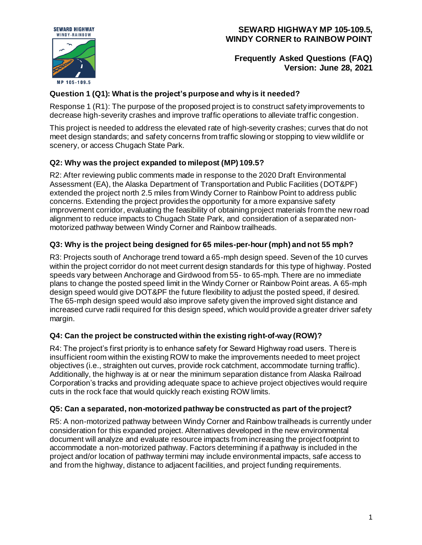## **SEWARD HIGHWAY MP 105-109.5, WINDY CORNER to RAINBOW POINT**



## **Frequently Asked Questions (FAQ) Version: June 28, 2021**

## **Question 1 (Q1): What is the project's purpose and why is it needed?**

Response 1 (R1): The purpose of the proposed project is to construct safety improvements to decrease high-severity crashes and improve traffic operations to alleviate traffic congestion.

This project is needed to address the elevated rate of high-severity crashes; curves that do not meet design standards; and safety concerns from traffic slowing or stopping to view wildlife or scenery, or access Chugach State Park.

## **Q2: Why was the project expanded to milepost (MP) 109.5?**

R2: After reviewing public comments made in response to the 2020 Draft Environmental Assessment (EA), the Alaska Department of Transportation and Public Facilities (DOT&PF) extended the project north 2.5 miles from Windy Corner to Rainbow Point to address public concerns. Extending the project provides the opportunity for a more expansive safety improvement corridor, evaluating the feasibility of obtaining project materials from the new road alignment to reduce impacts to Chugach State Park, and consideration of a separated nonmotorized pathway between Windy Corner and Rainbow trailheads.

# **Q3: Why is the project being designed for 65 miles-per-hour (mph) and not 55 mph?**

R3: Projects south of Anchorage trend toward a 65-mph design speed. Seven of the 10 curves within the project corridor do not meet current design standards for this type of highway. Posted speeds vary between Anchorage and Girdwood from 55- to 65-mph. There are no immediate plans to change the posted speed limit in the Windy Corner or Rainbow Point areas. A 65-mph design speed would give DOT&PF the future flexibility to adjust the posted speed, if desired. The 65-mph design speed would also improve safety given the improved sight distance and increased curve radii required for this design speed, which would provide a greater driver safety margin.

## **Q4: Can the project be constructed within the existing right-of-way (ROW)?**

R4: The project's first priority is to enhance safety for Seward Highway road users. There is insufficient room within the existing ROW to make the improvements needed to meet project objectives (i.e., straighten out curves, provide rock catchment, accommodate turning traffic). Additionally, the highway is at or near the minimum separation distance from Alaska Railroad Corporation's tracks and providing adequate space to achieve project objectives would require cuts in the rock face that would quickly reach existing ROW limits.

## **Q5: Can a separated, non-motorized pathway be constructed as part of the project?**

R5: A non-motorized pathway between Windy Corner and Rainbow trailheads is currently under consideration for this expanded project. Alternatives developed in the new environmental document will analyze and evaluate resource impacts from increasing the project footprint to accommodate a non-motorized pathway. Factors determining if a pathway is included in the project and/or location of pathway termini may include environmental impacts, safe access to and from the highway, distance to adjacent facilities, and project funding requirements.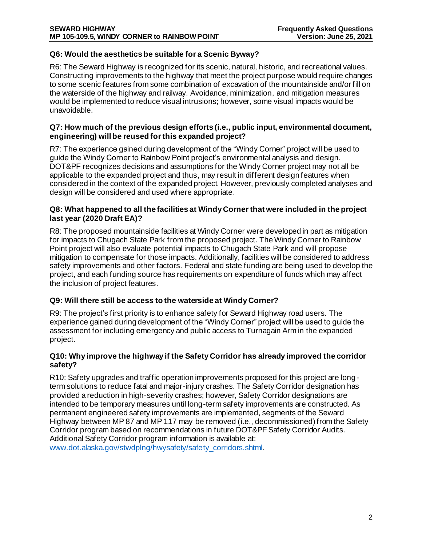### **Q6: Would the aesthetics be suitable for a Scenic Byway?**

R6: The Seward Highway is recognized for its scenic, natural, historic, and recreational values. Constructing improvements to the highway that meet the project purpose would require changes to some scenic features from some combination of excavation of the mountainside and/or fill on the waterside of the highway and railway. Avoidance, minimization, and mitigation measures would be implemented to reduce visual intrusions; however, some visual impacts would be unavoidable.

#### **Q7: How much of the previous design efforts (i.e., public input, environmental document, engineering) will be reused for this expanded project?**

R7: The experience gained during development of the "Windy Corner" project will be used to guide the Windy Corner to Rainbow Point project's environmental analysis and design. DOT&PF recognizes decisions and assumptions for the Windy Corner project may not all be applicable to the expanded project and thus, may result in different design features when considered in the context of the expanded project. However, previously completed analyses and design will be considered and used where appropriate.

### **Q8: What happened to all the facilities at Windy Corner that were included in the project last year (2020 Draft EA)?**

R8: The proposed mountainside facilities at Windy Corner were developed in part as mitigation for impacts to Chugach State Park from the proposed project. The Windy Corner to Rainbow Point project will also evaluate potential impacts to Chugach State Park and will propose mitigation to compensate for those impacts. Additionally, facilities will be considered to address safety improvements and other factors. Federal and state funding are being used to develop the project, and each funding source has requirements on expenditure of funds which may affect the inclusion of project features.

### **Q9: Will there still be access to the waterside at Windy Corner?**

R9: The project's first priority is to enhance safety for Seward Highway road users. The experience gained during development of the "Windy Corner" project will be used to guide the assessment for including emergency and public access to Turnagain Arm in the expanded project.

### **Q10: Why improve the highway if the Safety Corridor has already improved the corridor safety?**

R10: Safety upgrades and traffic operation improvements proposed for this project are longterm solutions to reduce fatal and major-injury crashes. The Safety Corridor designation has provided a reduction in high-severity crashes; however, Safety Corridor designations are intended to be temporary measures until long-term safety improvements are constructed. As permanent engineered safety improvements are implemented, segments of the Seward Highway between MP 87 and MP 117 may be removed (i.e., decommissioned) from the Safety Corridor program based on recommendations in future DOT&PF Safety Corridor Audits. Additional Safety Corridor program information is available at:

[www.dot.alaska.gov/stwdplng/hwysafety/safety\\_corridors.shtml](http://www.dot.alaska.gov/stwdplng/hwysafety/safety_corridors.shtml).